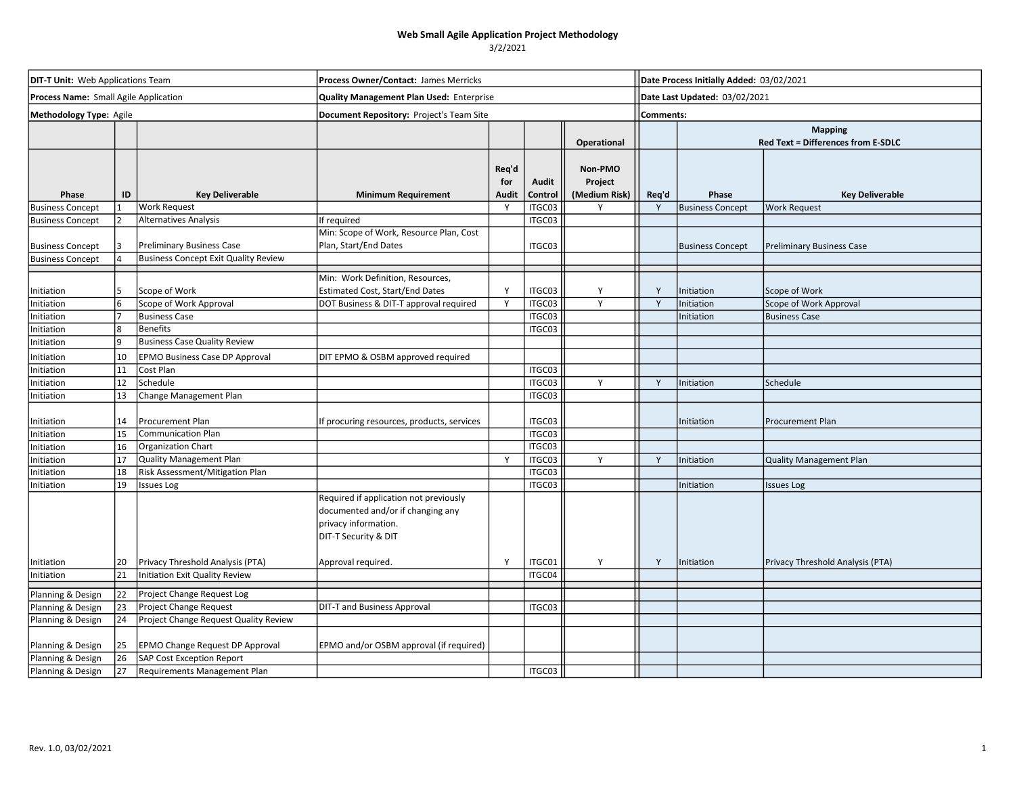| <b>DIT-T Unit:</b> Web Applications Team |    |                                             | Process Owner/Contact: James Merricks                                                                                       |                       |                         |                                     |              | Date Process Initially Added: 03/02/2021                    |                                  |  |  |
|------------------------------------------|----|---------------------------------------------|-----------------------------------------------------------------------------------------------------------------------------|-----------------------|-------------------------|-------------------------------------|--------------|-------------------------------------------------------------|----------------------------------|--|--|
| Process Name: Small Agile Application    |    |                                             | <b>Quality Management Plan Used: Enterprise</b>                                                                             |                       |                         |                                     |              | Date Last Updated: 03/02/2021                               |                                  |  |  |
| Methodology Type: Agile                  |    |                                             | Document Repository: Project's Team Site                                                                                    |                       |                         |                                     | Comments:    |                                                             |                                  |  |  |
|                                          |    |                                             |                                                                                                                             |                       |                         | <b>Operational</b>                  |              | <b>Mapping</b><br><b>Red Text = Differences from E-SDLC</b> |                                  |  |  |
| Phase                                    | ID | <b>Key Deliverable</b>                      | <b>Minimum Requirement</b>                                                                                                  | Req'd<br>for<br>Audit | <b>Audit</b><br>Control | Non-PMO<br>Project<br>(Medium Risk) | Req'd        | Phase                                                       | <b>Key Deliverable</b>           |  |  |
| <b>Business Concept</b>                  |    | <b>Work Request</b>                         |                                                                                                                             | Y                     | ITGC03                  |                                     | Y            | <b>Business Concept</b>                                     | <b>Work Request</b>              |  |  |
| <b>Business Concept</b>                  |    | <b>Alternatives Analysis</b>                | If required                                                                                                                 |                       | ITGC03                  |                                     |              |                                                             |                                  |  |  |
| <b>Business Concept</b>                  |    | Preliminary Business Case                   | Min: Scope of Work, Resource Plan, Cost<br>Plan, Start/End Dates                                                            |                       | ITGC03                  |                                     |              | <b>Business Concept</b>                                     | <b>Preliminary Business Case</b> |  |  |
| <b>Business Concept</b>                  |    | <b>Business Concept Exit Quality Review</b> |                                                                                                                             |                       |                         |                                     |              |                                                             |                                  |  |  |
|                                          |    |                                             | Min: Work Definition, Resources,                                                                                            |                       |                         |                                     |              |                                                             |                                  |  |  |
| Initiation                               | 5. | Scope of Work                               | Estimated Cost, Start/End Dates                                                                                             | Y                     | ITGC03                  | Y                                   | Y            | Initiation                                                  | Scope of Work                    |  |  |
| Initiation                               |    | Scope of Work Approval                      | DOT Business & DIT-T approval required                                                                                      | Y                     | ITGC03                  | $\mathsf{v}$                        | $\mathsf{v}$ | Initiation                                                  | Scope of Work Approval           |  |  |
| Initiation                               |    | <b>Business Case</b>                        |                                                                                                                             |                       | ITGC03                  |                                     |              | nitiation                                                   | <b>Business Case</b>             |  |  |
| Initiation                               |    | <b>Benefits</b>                             |                                                                                                                             |                       | ITGC03                  |                                     |              |                                                             |                                  |  |  |
| Initiation                               |    | <b>Business Case Quality Review</b>         |                                                                                                                             |                       |                         |                                     |              |                                                             |                                  |  |  |
| Initiation                               | 10 | EPMO Business Case DP Approval              | DIT EPMO & OSBM approved required                                                                                           |                       |                         |                                     |              |                                                             |                                  |  |  |
| Initiation                               | 11 | Cost Plan                                   |                                                                                                                             |                       | ITGC03                  |                                     |              |                                                             |                                  |  |  |
| Initiation                               | 12 | Schedule                                    |                                                                                                                             |                       | ITGC03                  | Y                                   | Y            | Initiation                                                  | Schedule                         |  |  |
| Initiation                               | 13 | Change Management Plan                      |                                                                                                                             |                       | ITGC03                  |                                     |              |                                                             |                                  |  |  |
| Initiation                               | 14 | Procurement Plan                            | If procuring resources, products, services                                                                                  |                       | ITGC03                  |                                     |              | Initiation                                                  | <b>Procurement Plan</b>          |  |  |
| Initiation                               | 15 | <b>Communication Plan</b>                   |                                                                                                                             |                       | ITGC03                  |                                     |              |                                                             |                                  |  |  |
| Initiation                               | 16 | Organization Chart                          |                                                                                                                             |                       | ITGC03                  |                                     |              |                                                             |                                  |  |  |
| Initiation                               | 17 | <b>Quality Management Plan</b>              |                                                                                                                             | Y                     | ITGC03                  | Y                                   | Y            | Initiation                                                  | <b>Quality Management Plan</b>   |  |  |
| Initiation                               | 18 | Risk Assessment/Mitigation Plan             |                                                                                                                             |                       | ITGC03                  |                                     |              |                                                             |                                  |  |  |
| Initiation                               | 19 | <b>Issues Log</b>                           |                                                                                                                             |                       | ITGC03                  |                                     |              | Initiation                                                  | <b>Issues Log</b>                |  |  |
|                                          |    |                                             | Required if application not previously<br>documented and/or if changing any<br>privacy information.<br>DIT-T Security & DIT |                       |                         |                                     |              |                                                             |                                  |  |  |
| Initiation                               | 20 | Privacy Threshold Analysis (PTA)            | Approval required.                                                                                                          | Y                     | ITGC01                  | Y                                   | Y            | Initiation                                                  | Privacy Threshold Analysis (PTA) |  |  |
| Initiation                               | 21 | <b>Initiation Exit Quality Review</b>       |                                                                                                                             |                       | ITGC04                  |                                     |              |                                                             |                                  |  |  |
| Planning & Design                        | 22 | Project Change Request Log                  |                                                                                                                             |                       |                         |                                     |              |                                                             |                                  |  |  |
| Planning & Design                        | 23 | Project Change Request                      | DIT-T and Business Approval                                                                                                 |                       | ITGC03                  |                                     |              |                                                             |                                  |  |  |
| Planning & Design                        | 24 | Project Change Request Quality Review       |                                                                                                                             |                       |                         |                                     |              |                                                             |                                  |  |  |
| Planning & Design                        | 25 | EPMO Change Request DP Approval             | EPMO and/or OSBM approval (if required)                                                                                     |                       |                         |                                     |              |                                                             |                                  |  |  |
| Planning & Design                        | 26 | <b>SAP Cost Exception Report</b>            |                                                                                                                             |                       |                         |                                     |              |                                                             |                                  |  |  |
| Planning & Design                        | 27 | Requirements Management Plan                |                                                                                                                             |                       | ITGC03                  |                                     |              |                                                             |                                  |  |  |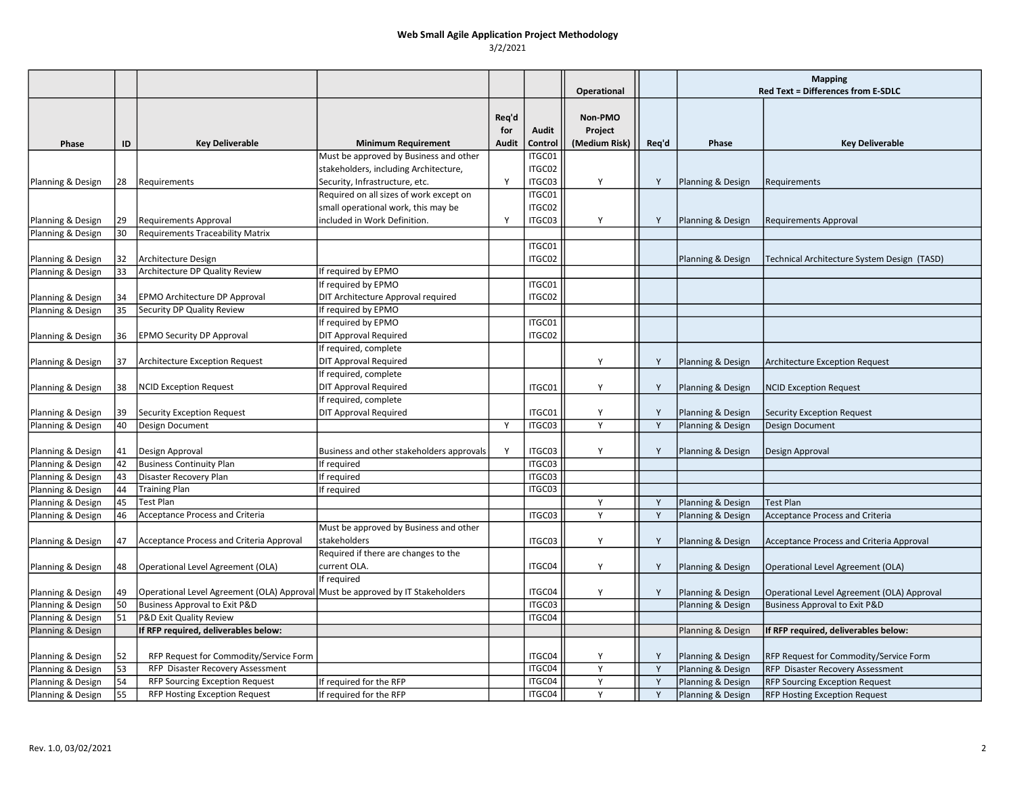|                                        |          |                                                                                |                                           |                              |                  | Operational                         |       | <b>Mapping</b><br><b>Red Text = Differences from E-SDLC</b> |                                             |
|----------------------------------------|----------|--------------------------------------------------------------------------------|-------------------------------------------|------------------------------|------------------|-------------------------------------|-------|-------------------------------------------------------------|---------------------------------------------|
|                                        |          |                                                                                |                                           |                              |                  |                                     |       |                                                             |                                             |
| Phase                                  | ID       | <b>Key Deliverable</b>                                                         | <b>Minimum Requirement</b>                | Req'd<br>for<br><b>Audit</b> | Audit<br>Control | Non-PMO<br>Project<br>(Medium Risk) | Req'd | Phase                                                       | <b>Key Deliverable</b>                      |
|                                        |          |                                                                                | Must be approved by Business and other    |                              | ITGC01           |                                     |       |                                                             |                                             |
|                                        |          |                                                                                | stakeholders, including Architecture,     |                              | ITGC02           |                                     |       |                                                             |                                             |
| Planning & Design                      | 28       | Requirements                                                                   | Security, Infrastructure, etc.            | Y                            | ITGC03           | Y                                   | Y     | Planning & Design                                           | Requirements                                |
|                                        |          |                                                                                | Required on all sizes of work except on   |                              | ITGC01           |                                     |       |                                                             |                                             |
|                                        |          |                                                                                | small operational work, this may be       |                              | ITGC02           |                                     |       |                                                             |                                             |
| Planning & Design                      | 29       | <b>Requirements Approval</b>                                                   | included in Work Definition.              | Y                            | ITGC03           | Y                                   | Y     | Planning & Design                                           | <b>Requirements Approval</b>                |
| Planning & Design                      | 30       | <b>Requirements Traceability Matrix</b>                                        |                                           |                              |                  |                                     |       |                                                             |                                             |
|                                        |          |                                                                                |                                           |                              | ITGC01           |                                     |       |                                                             |                                             |
| Planning & Design                      | 32       | Architecture Design                                                            |                                           |                              | ITGC02           |                                     |       | Planning & Design                                           | Technical Architecture System Design (TASD) |
| Planning & Design                      | 33       | Architecture DP Quality Review                                                 | If required by EPMO                       |                              |                  |                                     |       |                                                             |                                             |
|                                        |          |                                                                                | If required by EPMO                       |                              | ITGC01           |                                     |       |                                                             |                                             |
| Planning & Design                      | 34       | EPMO Architecture DP Approval                                                  | DIT Architecture Approval required        |                              | ITGC02           |                                     |       |                                                             |                                             |
| Planning & Design                      | 35       | Security DP Quality Review                                                     | If required by EPMO                       |                              |                  |                                     |       |                                                             |                                             |
|                                        |          |                                                                                | If required by EPMO                       |                              | ITGC01           |                                     |       |                                                             |                                             |
| Planning & Design                      | 36       | <b>EPMO Security DP Approval</b>                                               | <b>DIT Approval Required</b>              |                              | ITGC02           |                                     |       |                                                             |                                             |
|                                        |          |                                                                                | If required, complete                     |                              |                  |                                     |       |                                                             |                                             |
| Planning & Design                      | 37       | Architecture Exception Request                                                 | <b>DIT Approval Required</b>              |                              |                  | Y                                   | Y     | Planning & Design                                           | <b>Architecture Exception Request</b>       |
|                                        |          |                                                                                | If required, complete                     |                              |                  |                                     |       |                                                             |                                             |
| Planning & Design                      | 38       | <b>NCID Exception Request</b>                                                  | DIT Approval Required                     |                              | ITGC01           | Y                                   | Y     | Planning & Design                                           | <b>NCID Exception Request</b>               |
|                                        |          |                                                                                | If required, complete                     |                              |                  |                                     |       |                                                             |                                             |
| Planning & Design                      | 39       | Security Exception Request                                                     | DIT Approval Required                     |                              | ITGC01           | Y                                   | Y     | Planning & Design                                           | <b>Security Exception Request</b>           |
| Planning & Design                      | 40       | Design Document                                                                |                                           | Y                            | ITGC03           | Y                                   | Y     | Planning & Design                                           | Design Document                             |
|                                        |          |                                                                                |                                           |                              |                  |                                     |       |                                                             |                                             |
| Planning & Design                      | 41       | Design Approval                                                                | Business and other stakeholders approvals | Y                            | ITGC03           | Y                                   | Y     | Planning & Design                                           | Design Approval                             |
| Planning & Design                      | 42       | <b>Business Continuity Plan</b>                                                | If required                               |                              | ITGC03           |                                     |       |                                                             |                                             |
| Planning & Design                      | 43       | Disaster Recovery Plan                                                         | If required                               |                              | ITGC03<br>ITGC03 |                                     |       |                                                             |                                             |
| Planning & Design<br>Planning & Design | 44<br>45 | <b>Training Plan</b><br><b>Test Plan</b>                                       | If required                               |                              |                  | Y                                   | Y     | Planning & Design                                           | <b>Test Plan</b>                            |
| Planning & Design                      | 46       | Acceptance Process and Criteria                                                |                                           |                              | ITGC03           | Y                                   | Y     | Planning & Design                                           | <b>Acceptance Process and Criteria</b>      |
|                                        |          |                                                                                | Must be approved by Business and other    |                              |                  |                                     |       |                                                             |                                             |
| Planning & Design                      | 47       | Acceptance Process and Criteria Approval                                       | stakeholders                              |                              | ITGC03           | Y                                   | Y     | Planning & Design                                           | Acceptance Process and Criteria Approval    |
|                                        |          |                                                                                | Required if there are changes to the      |                              |                  |                                     |       |                                                             |                                             |
| Planning & Design                      | 48       | Operational Level Agreement (OLA)                                              | current OLA.                              |                              | ITGC04           | Y                                   | Y     | Planning & Design                                           | Operational Level Agreement (OLA)           |
|                                        |          |                                                                                | If required                               |                              |                  |                                     |       |                                                             |                                             |
| Planning & Design                      | 49       | Operational Level Agreement (OLA) Approval Must be approved by IT Stakeholders |                                           |                              | ITGC04           | Y                                   | Y     | Planning & Design                                           | Operational Level Agreement (OLA) Approval  |
| Planning & Design                      | 50       | Business Approval to Exit P&D                                                  |                                           |                              | ITGC03           |                                     |       | Planning & Design                                           | <b>Business Approval to Exit P&amp;D</b>    |
| Planning & Design                      | 51       | P&D Exit Quality Review                                                        |                                           |                              | ITGC04           |                                     |       |                                                             |                                             |
| Planning & Design                      |          | If RFP required, deliverables below:                                           |                                           |                              |                  |                                     |       | Planning & Design                                           | If RFP required, deliverables below:        |
|                                        |          |                                                                                |                                           |                              |                  |                                     |       |                                                             |                                             |
| Planning & Design                      | 52       | RFP Request for Commodity/Service Form                                         |                                           |                              | ITGC04           |                                     | Y     | Planning & Design                                           | RFP Request for Commodity/Service Form      |
| Planning & Design                      | 53       | RFP Disaster Recovery Assessment                                               |                                           |                              | ITGC04           | Y                                   | Y     | Planning & Design                                           | RFP Disaster Recovery Assessment            |
| Planning & Design                      | 54       | <b>RFP Sourcing Exception Request</b>                                          | If required for the RFP                   |                              | ITGC04           | Y                                   | Y     | Planning & Design                                           | <b>RFP Sourcing Exception Request</b>       |
| Planning & Design                      | 55       | RFP Hosting Exception Request                                                  | If required for the RFP                   |                              | ITGC04           | Y                                   | Y     | Planning & Design                                           | <b>RFP Hosting Exception Request</b>        |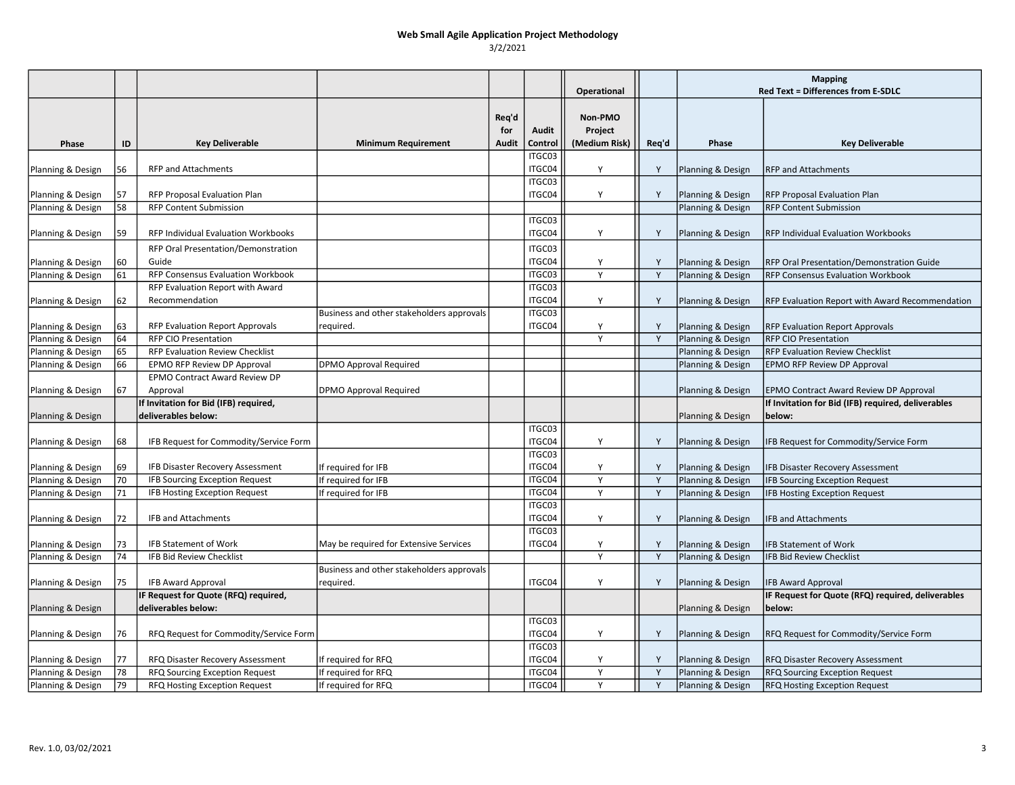|                   |    |                                                              |                                           |                       |                  | Operational                         |       | <b>Mapping</b><br><b>Red Text = Differences from E-SDLC</b> |                                                              |
|-------------------|----|--------------------------------------------------------------|-------------------------------------------|-----------------------|------------------|-------------------------------------|-------|-------------------------------------------------------------|--------------------------------------------------------------|
| Phase             | ID | <b>Key Deliverable</b>                                       | <b>Minimum Requirement</b>                | Req'd<br>for<br>Audit | Audit<br>Control | Non-PMO<br>Project<br>(Medium Risk) | Req'd | Phase                                                       | <b>Key Deliverable</b>                                       |
|                   |    |                                                              |                                           |                       | ITGC03           |                                     |       |                                                             |                                                              |
| Planning & Design | 56 | <b>RFP and Attachments</b>                                   |                                           |                       | ITGC04           | Y                                   | Y     | Planning & Design                                           | <b>RFP and Attachments</b>                                   |
| Planning & Design | 57 | RFP Proposal Evaluation Plan                                 |                                           |                       | ITGC03<br>ITGC04 | Υ                                   | Y     | Planning & Design                                           | RFP Proposal Evaluation Plan                                 |
| Planning & Design | 58 | <b>RFP Content Submission</b>                                |                                           |                       |                  |                                     |       | Planning & Design                                           | <b>RFP Content Submission</b>                                |
| Planning & Design | 59 | RFP Individual Evaluation Workbooks                          |                                           |                       | ITGC03<br>ITGC04 | Y                                   | Y     | Planning & Design                                           | RFP Individual Evaluation Workbooks                          |
|                   |    | RFP Oral Presentation/Demonstration                          |                                           |                       | ITGC03           |                                     |       |                                                             |                                                              |
| Planning & Design | 60 | Guide<br>RFP Consensus Evaluation Workbook                   |                                           |                       | ITGC04<br>ITGC03 | Y<br>Y                              | Y     | Planning & Design                                           | RFP Oral Presentation/Demonstration Guide                    |
| Planning & Design | 61 | RFP Evaluation Report with Award                             |                                           |                       | ITGC03           |                                     | Y     | Planning & Design                                           | <b>RFP Consensus Evaluation Workbook</b>                     |
| Planning & Design | 62 | Recommendation                                               |                                           |                       | ITGC04           | Y                                   | Y     | Planning & Design                                           | RFP Evaluation Report with Award Recommendation              |
|                   |    |                                                              | Business and other stakeholders approvals |                       | ITGC03           |                                     |       |                                                             |                                                              |
| Planning & Design | 63 | RFP Evaluation Report Approvals                              | required.                                 |                       | ITGC04           | Y                                   | Y     | Planning & Design                                           | <b>RFP Evaluation Report Approvals</b>                       |
| Planning & Design | 64 | <b>RFP CIO Presentation</b>                                  |                                           |                       |                  | Y                                   | Y     | Planning & Design                                           | <b>RFP CIO Presentation</b>                                  |
| Planning & Design | 65 | <b>RFP Evaluation Review Checklist</b>                       |                                           |                       |                  |                                     |       | Planning & Design                                           | <b>RFP Evaluation Review Checklist</b>                       |
| Planning & Design | 66 | EPMO RFP Review DP Approval                                  | <b>DPMO Approval Required</b>             |                       |                  |                                     |       | Planning & Design                                           | EPMO RFP Review DP Approval                                  |
|                   |    | EPMO Contract Award Review DP                                |                                           |                       |                  |                                     |       |                                                             |                                                              |
| Planning & Design | 67 | Approval                                                     | DPMO Approval Required                    |                       |                  |                                     |       | Planning & Design                                           | <b>EPMO Contract Award Review DP Approval</b>                |
| Planning & Design |    | If Invitation for Bid (IFB) required,<br>deliverables below: |                                           |                       |                  |                                     |       | Planning & Design                                           | If Invitation for Bid (IFB) required, deliverables<br>below: |
|                   |    |                                                              |                                           |                       | ITGC03           |                                     |       |                                                             |                                                              |
| Planning & Design | 68 | IFB Request for Commodity/Service Form                       |                                           |                       | ITGC04           | Y                                   | Y     | Planning & Design                                           | IFB Request for Commodity/Service Form                       |
| Planning & Design | 69 | IFB Disaster Recovery Assessment                             | If required for IFB                       |                       | ITGC03<br>ITGC04 | Y                                   | Y     | Planning & Design                                           | <b>IFB Disaster Recovery Assessment</b>                      |
| Planning & Design | 70 | <b>IFB Sourcing Exception Request</b>                        | If required for IFB                       |                       | ITGC04           | Y                                   | Y     | Planning & Design                                           | <b>IFB Sourcing Exception Request</b>                        |
| Planning & Design | 71 | IFB Hosting Exception Request                                | If required for IFB                       |                       | ITGC04           | Y                                   | Y     | Planning & Design                                           | <b>IFB Hosting Exception Request</b>                         |
|                   |    |                                                              |                                           |                       | ITGC03           |                                     |       |                                                             |                                                              |
| Planning & Design | 72 | IFB and Attachments                                          |                                           |                       | ITGC04           | Y                                   | Y     | Planning & Design                                           | <b>IFB and Attachments</b>                                   |
|                   |    |                                                              |                                           |                       | ITGC03           |                                     |       |                                                             |                                                              |
| Planning & Design | 73 | <b>IFB Statement of Work</b>                                 | May be required for Extensive Services    |                       | ITGC04           | Y                                   | Y     | Planning & Design                                           | <b>IFB Statement of Work</b>                                 |
| Planning & Design | 74 | IFB Bid Review Checklist                                     |                                           |                       |                  | Y                                   | Y     | Planning & Design                                           | <b>IFB Bid Review Checklist</b>                              |
|                   |    |                                                              | Business and other stakeholders approvals |                       |                  |                                     |       |                                                             |                                                              |
| Planning & Design | 75 | <b>IFB Award Approval</b>                                    | required.                                 |                       | ITGC04           | Y                                   | Y     | Planning & Design                                           | <b>IFB Award Approval</b>                                    |
|                   |    | IF Request for Quote (RFQ) required,                         |                                           |                       |                  |                                     |       |                                                             | IF Request for Quote (RFQ) required, deliverables            |
| Planning & Design |    | deliverables below:                                          |                                           |                       |                  |                                     |       | Planning & Design                                           | below:                                                       |
| Planning & Design | 76 | RFQ Request for Commodity/Service Form                       |                                           |                       | ITGC03<br>ITGC04 | Y                                   | Y     | Planning & Design                                           | RFQ Request for Commodity/Service Form                       |
|                   |    |                                                              |                                           |                       | ITGC03           |                                     |       |                                                             |                                                              |
| Planning & Design | 77 | RFQ Disaster Recovery Assessment                             | If required for RFQ                       |                       | ITGC04           | Y                                   | Y     | Planning & Design                                           | RFQ Disaster Recovery Assessment                             |
| Planning & Design | 78 | RFQ Sourcing Exception Request                               | If required for RFQ                       |                       | ITGC04           | Y                                   | Y     | Planning & Design                                           | <b>RFQ Sourcing Exception Request</b>                        |
| Planning & Design | 79 | RFQ Hosting Exception Request                                | If required for RFQ                       |                       | ITGC04           | Y                                   | Y     | Planning & Design                                           | RFQ Hosting Exception Request                                |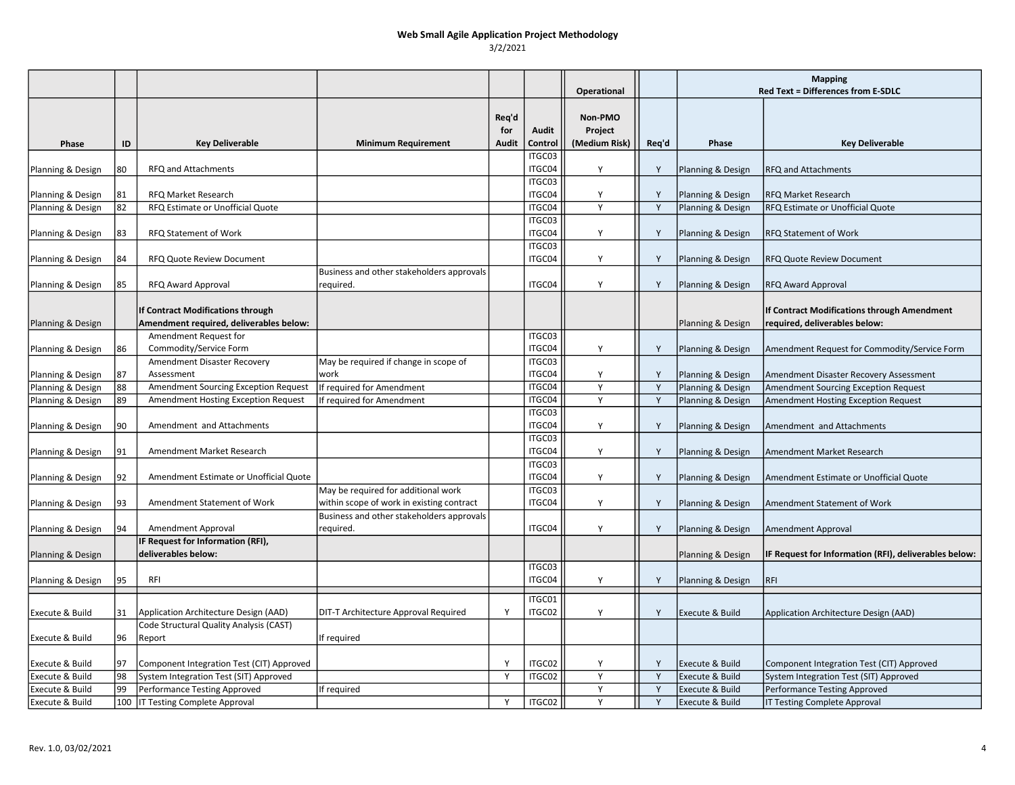|                   |    |                                           |                                           |                              |                  | Operational                         |       | <b>Mapping</b><br>Red Text = Differences from E-SDLC |                                                       |
|-------------------|----|-------------------------------------------|-------------------------------------------|------------------------------|------------------|-------------------------------------|-------|------------------------------------------------------|-------------------------------------------------------|
| Phase             | ID | <b>Key Deliverable</b>                    | <b>Minimum Requirement</b>                | Rea'd<br>for<br><b>Audit</b> | Audit<br>Control | Non-PMO<br>Project<br>(Medium Risk) | Req'd | Phase                                                | <b>Key Deliverable</b>                                |
|                   |    |                                           |                                           |                              | ITGC03           |                                     |       |                                                      |                                                       |
| Planning & Design | 80 | RFQ and Attachments                       |                                           |                              | ITGC04<br>ITGC03 | Y                                   | Y     | Planning & Design                                    | <b>RFQ and Attachments</b>                            |
| Planning & Design | 81 | <b>RFQ Market Research</b>                |                                           |                              | ITGC04           | Y                                   | Y     | Planning & Design                                    | <b>RFQ Market Research</b>                            |
| Planning & Design | 82 | RFQ Estimate or Unofficial Quote          |                                           |                              | ITGC04           | Y                                   | Y     | Planning & Design                                    | RFQ Estimate or Unofficial Quote                      |
|                   |    |                                           |                                           |                              | ITGC03           |                                     |       |                                                      |                                                       |
| Planning & Design | 83 | RFQ Statement of Work                     |                                           |                              | ITGC04           | Υ                                   | Y     | Planning & Design                                    | <b>RFQ Statement of Work</b>                          |
|                   |    |                                           |                                           |                              | ITGC03           |                                     |       |                                                      |                                                       |
| Planning & Design | 84 | <b>RFQ Quote Review Document</b>          |                                           |                              | ITGC04           | Y                                   | Y     | Planning & Design                                    | <b>RFQ Quote Review Document</b>                      |
|                   |    |                                           | Business and other stakeholders approvals |                              |                  |                                     |       |                                                      |                                                       |
| Planning & Design | 85 | <b>RFQ Award Approval</b>                 | required.                                 |                              | ITGC04           | Y                                   | Y     | Planning & Design                                    | <b>RFQ Award Approval</b>                             |
|                   |    |                                           |                                           |                              |                  |                                     |       |                                                      |                                                       |
|                   |    | If Contract Modifications through         |                                           |                              |                  |                                     |       |                                                      | If Contract Modifications through Amendment           |
| Planning & Design |    | Amendment required, deliverables below:   |                                           |                              |                  |                                     |       | Planning & Design                                    | required, deliverables below:                         |
|                   |    | Amendment Request for                     |                                           |                              | ITGC03           |                                     |       |                                                      |                                                       |
| Planning & Design | 86 | Commodity/Service Form                    | May be required if change in scope of     |                              | ITGC04<br>ITGC03 | Y                                   | Y     | Planning & Design                                    | Amendment Request for Commodity/Service Form          |
| Planning & Design | 87 | Amendment Disaster Recovery<br>Assessment | work                                      |                              | ITGC04           | Y                                   | Y     | Planning & Design                                    | Amendment Disaster Recovery Assessment                |
| Planning & Design | 88 | Amendment Sourcing Exception Request      | If required for Amendment                 |                              | ITGC04           | Y                                   | Y     | Planning & Design                                    | <b>Amendment Sourcing Exception Request</b>           |
| Planning & Design | 89 | Amendment Hosting Exception Request       | If required for Amendment                 |                              | ITGC04           | Y                                   | Y     | Planning & Design                                    | Amendment Hosting Exception Request                   |
|                   |    |                                           |                                           |                              | ITGC03           |                                     |       |                                                      |                                                       |
| Planning & Design | 90 | Amendment and Attachments                 |                                           |                              | ITGC04           | Y                                   | Y     | Planning & Design                                    | Amendment and Attachments                             |
|                   |    |                                           |                                           |                              | ITGC03           |                                     |       |                                                      |                                                       |
| Planning & Design | 91 | Amendment Market Research                 |                                           |                              | ITGC04           | Y                                   | Y     | Planning & Design                                    | Amendment Market Research                             |
|                   |    |                                           |                                           |                              | ITGC03           |                                     |       |                                                      |                                                       |
| Planning & Design | 92 | Amendment Estimate or Unofficial Quote    |                                           |                              | ITGC04           | Y                                   | Y     | Planning & Design                                    | Amendment Estimate or Unofficial Quote                |
|                   |    |                                           | May be required for additional work       |                              | ITGC03           |                                     |       |                                                      |                                                       |
| Planning & Design | 93 | Amendment Statement of Work               | within scope of work in existing contract |                              | ITGC04           | Y                                   | Y     | Planning & Design                                    | Amendment Statement of Work                           |
|                   |    |                                           | Business and other stakeholders approvals |                              |                  |                                     |       |                                                      |                                                       |
| Planning & Design | 94 | Amendment Approval                        | required.                                 |                              | ITGC04           | Y                                   | Y     | Planning & Design                                    | Amendment Approval                                    |
|                   |    | IF Request for Information (RFI),         |                                           |                              |                  |                                     |       |                                                      |                                                       |
| Planning & Design |    | deliverables below:                       |                                           |                              |                  |                                     |       | Planning & Design                                    | IF Request for Information (RFI), deliverables below: |
|                   |    |                                           |                                           |                              | ITGC03           |                                     |       |                                                      |                                                       |
| Planning & Design | 95 | <b>RFI</b>                                |                                           |                              | ITGC04           | Y                                   | Y     | Planning & Design                                    | <b>RFI</b>                                            |
|                   |    |                                           |                                           |                              | ITGC01           |                                     |       |                                                      |                                                       |
| Execute & Build   | 31 | Application Architecture Design (AAD)     | DIT-T Architecture Approval Required      | Y                            | ITGC02           | Υ                                   | Y     | Execute & Build                                      | Application Architecture Design (AAD)                 |
|                   |    | Code Structural Quality Analysis (CAST)   |                                           |                              |                  |                                     |       |                                                      |                                                       |
| Execute & Build   | 96 | Report                                    | If required                               |                              |                  |                                     |       |                                                      |                                                       |
|                   |    |                                           |                                           |                              |                  |                                     |       |                                                      |                                                       |
| Execute & Build   | 97 | Component Integration Test (CIT) Approved |                                           | Y                            | ITGC02           | Υ                                   | Y     | Execute & Build                                      | Component Integration Test (CIT) Approved             |
| Execute & Build   | 98 | System Integration Test (SIT) Approved    |                                           | Y                            | ITGC02           | Y                                   | Y     | Execute & Build                                      | System Integration Test (SIT) Approved                |
| Execute & Build   | 99 | Performance Testing Approved              | If required                               |                              |                  | Y                                   | Y     | Execute & Build                                      | Performance Testing Approved                          |
| Execute & Build   |    | 100   IT Testing Complete Approval        |                                           | Y                            | ITGC02           | Y                                   | Y     | Execute & Build                                      | IT Testing Complete Approval                          |